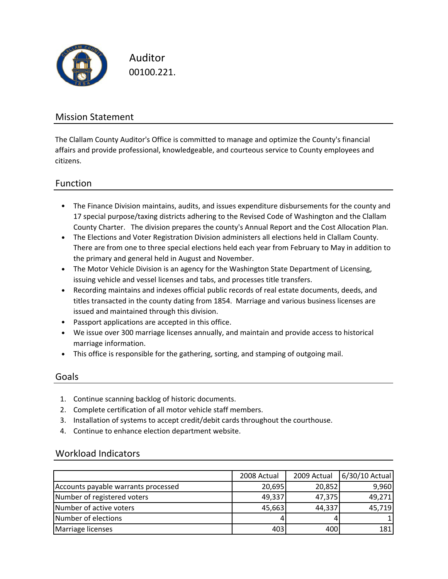

Auditor 00100.221.

## Mission Statement

The Clallam County Auditor's Office is committed to manage and optimize the County's financial affairs and provide professional, knowledgeable, and courteous service to County employees and citizens.

### Function

- The Finance Division maintains, audits, and issues expenditure disbursements for the county and 17 special purpose/taxing districts adhering to the Revised Code of Washington and the Clallam County Charter. The division prepares the county's Annual Report and the Cost Allocation Plan.
- The Elections and Voter Registration Division administers all elections held in Clallam County. There are from one to three special elections held each year from February to May in addition to the primary and general held in August and November.
- The Motor Vehicle Division is an agency for the Washington State Department of Licensing, issuing vehicle and vessel licenses and tabs, and processes title transfers.
- Recording maintains and indexes official public records of real estate documents, deeds, and titles transacted in the county dating from 1854. Marriage and various business licenses are issued and maintained through this division.
- Passport applications are accepted in this office.
- We issue over 300 marriage licenses annually, and maintain and provide access to historical marriage information.
- This office is responsible for the gathering, sorting, and stamping of outgoing mail.

### Goals

- 1. Continue scanning backlog of historic documents.
- 2. Complete certification of all motor vehicle staff members.
- 3. Installation of systems to accept credit/debit cards throughout the courthouse.
- 4. Continue to enhance election department website.

### Workload Indicators

|                                     | 2008 Actual | 2009 Actual | 6/30/10 Actual |
|-------------------------------------|-------------|-------------|----------------|
| Accounts payable warrants processed | 20,695      | 20,852      | 9,960          |
| Number of registered voters         | 49,337      | 47,375      | 49,271         |
| Number of active voters             | 45,663      | 44,337      | 45,719         |
| Number of elections                 |             |             |                |
| Marriage licenses                   | 403         | 400         | 181            |